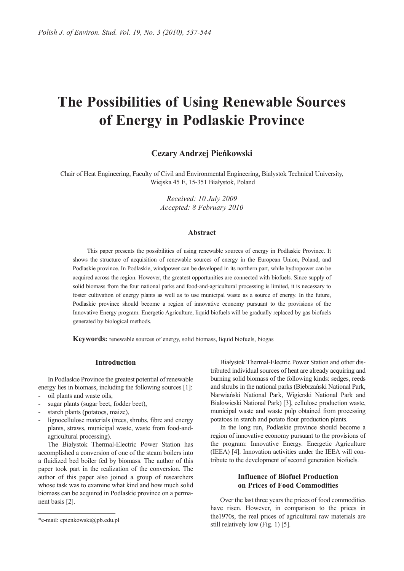# **The Possibilities of Using Renewable Sources of Energy in Podlaskie Province**

# **Cezary Andrzej Pieńkowski**

Chair of Heat Engineering, Faculty of Civil and Environmental Engineering, Białystok Technical University, Wiejska 45 E, 15-351 Białystok, Poland

> *Received: 10 July 2009 Accepted: 8 February 2010*

#### **Abstract**

This paper presents the possibilities of using renewable sources of energy in Podlaskie Province. It shows the structure of acquisition of renewable sources of energy in the European Union, Poland, and Podlaskie province. In Podlaskie, windpower can be developed in its northern part, while hydropower can be acquired across the region. However, the greatest opportunities are connected with biofuels. Since supply of solid biomass from the four national parks and food-and-agricultural processing is limited, it is necessary to foster cultivation of energy plants as well as to use municipal waste as a source of energy. In the future, Podlaskie province should become a region of innovative economy pursuant to the provisions of the Innovative Energy program. Energetic Agriculture, liquid biofuels will be gradually replaced by gas biofuels generated by biological methods.

**Keywords:** renewable sources of energy, solid biomass, liquid biofuels, biogas

#### **Introduction**

In Podlaskie Province the greatest potential of renewable energy lies in biomass, including the following sources [1]:

- oil plants and waste oils,
- sugar plants (sugar beet, fodder beet),
- starch plants (potatoes, maize),
- lignocellulose materials (trees, shrubs, fibre and energy plants, straws, municipal waste, waste from food-andagricultural processing).

The Białystok Thermal-Electric Power Station has accomplished a conversion of one of the steam boilers into a fluidized bed boiler fed by biomass. The author of this paper took part in the realization of the conversion. The author of this paper also joined a group of researchers whose task was to examine what kind and how much solid biomass can be acquired in Podlaskie province on a permanent basis [2].

Białystok Thermal-Electric Power Station and other distributed individual sources of heat are already acquiring and burning solid biomass of the following kinds: sedges, reeds and shrubs in the national parks (Biebrzański National Park, Narwiański National Park, Wigierski National Park and Białowieski National Park) [3], cellulose production waste, municipal waste and waste pulp obtained from processing potatoes in starch and potato flour production plants.

In the long run, Podlaskie province should become a region of innovative economy pursuant to the provisions of the program: Innovative Energy. Energetic Agriculture (IEEA) [4]. Innovation activities under the IEEA will contribute to the development of second generation biofuels.

# **Influence of Biofuel Production on Prices of Food Commodities**

Over the last three years the prices of food commodities have risen. However, in comparison to the prices in the1970s, the real prices of agricultural raw materials are still relatively low (Fig. 1) [5].

<sup>\*</sup>e-mail: cpienkowski@pb.edu.pl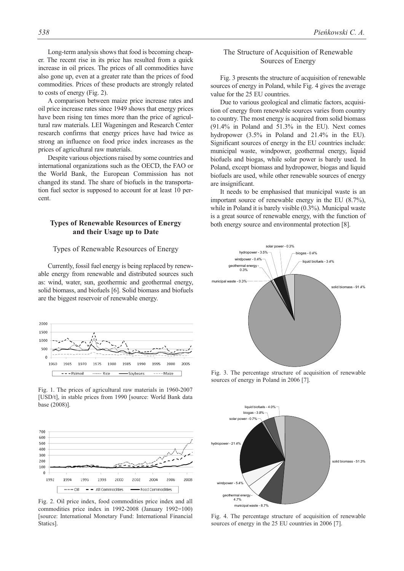Long-term analysis shows that food is becoming cheaper. The recent rise in its price has resulted from a quick increase in oil prices. The prices of all commodities have also gone up, even at a greater rate than the prices of food commodities. Prices of these products are strongly related to costs of energy (Fig. 2).

A comparison between maize price increase rates and oil price increase rates since 1949 shows that energy prices have been rising ten times more than the price of agricultural raw materials. LEI Wageningen and Research Center research confirms that energy prices have had twice as strong an influence on food price index increases as the prices of agricultural raw materials.

Despite various objections raised by some countries and international organizations such as the OECD, the FAO or the World Bank, the European Commission has not changed its stand. The share of biofuels in the transportation fuel sector is supposed to account for at least 10 percent.

## **Types of Renewable Resources of Energy and their Usage up to Date**

#### Types of Renewable Resources of Energy

Currently, fossil fuel energy is being replaced by renewable energy from renewable and distributed sources such as: wind, water, sun, geothermic and geothermal energy, solid biomass, and biofuels [6]. Solid biomass and biofuels are the biggest reservoir of renewable energy.



Fig. 1. The prices of agricultural raw materials in 1960-2007 [USD/t], in stable prices from 1990 [source: World Bank data base (2008)].



Fig. 2. Oil price index, food commodities price index and all commodities price index in 1992-2008 (January 1992=100) [source: International Monetary Fund: International Financial Statics].

## The Structure of Acquisition of Renewable Sources of Energy

Fig. 3 presents the structure of acquisition of renewable sources of energy in Poland, while Fig. 4 gives the average value for the 25 EU countries.

Due to various geological and climatic factors, acquisition of energy from renewable sources varies from country to country. The most energy is acquired from solid biomass (91.4% in Poland and 51.3% in the EU). Next comes hydropower (3.5% in Poland and 21.4% in the EU). Significant sources of energy in the EU countries include: municipal waste, windpower, geothermal energy, liquid biofuels and biogas, while solar power is barely used. In Poland, except biomass and hydropower, biogas and liquid biofuels are used, while other renewable sources of energy are insignificant.

It needs to be emphasised that municipal waste is an important source of renewable energy in the EU (8.7%), while in Poland it is barely visible  $(0.3\%)$ . Municipal waste is a great source of renewable energy, with the function of both energy source and environmental protection [8].



Fig. 3. The percentage structure of acquisition of renewable sources of energy in Poland in 2006 [7].



Fig. 4. The percentage structure of acquisition of renewable sources of energy in the 25 EU countries in 2006 [7].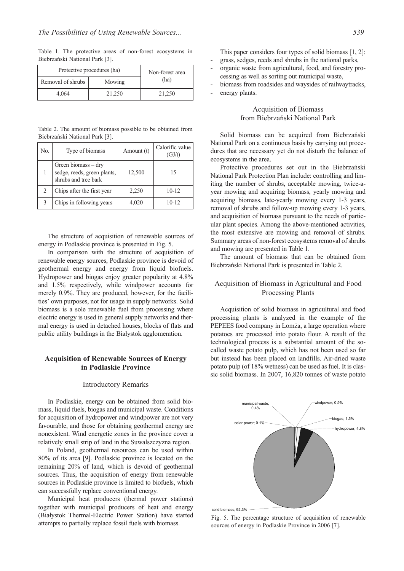Table 1. The protective areas of non-forest ecosystems in Biebrzański National Park [3].

| Protective procedures (ha) | Non-forest area |        |  |
|----------------------------|-----------------|--------|--|
| Removal of shrubs          | Mowing          | (ha)   |  |
| 4.064                      | 21,250          | 21.250 |  |

Table 2. The amount of biomass possible to be obtained from Biebrzański National Park [3].

| No. | Type of biomass                                                              | Amount (t) | Calorific value<br>(GJ/t) |
|-----|------------------------------------------------------------------------------|------------|---------------------------|
|     | Green biomass $-$ dry<br>sedge, reeds, green plants,<br>shrubs and tree bark | 12,500     | 15                        |
|     | Chips after the first year                                                   | 2,250      | $10 - 12$                 |
|     | Chips in following years                                                     | 4.020      | $10 - 12$                 |

The structure of acquisition of renewable sources of energy in Podlaskie province is presented in Fig. 5.

In comparison with the structure of acquisition of renewable energy sources, Podlaskie province is devoid of geothermal energy and energy from liquid biofuels. Hydropower and biogas enjoy greater popularity at 4.8% and 1.5% respectively, while windpower accounts for merely 0.9%. They are produced, however, for the facilities' own purposes, not for usage in supply networks. Solid biomass is a sole renewable fuel from processing where electric energy is used in general supply networks and thermal energy is used in detached houses, blocks of flats and public utility buildings in the Białystok agglomeration.

## **Acquisition of Renewable Sources of Energy in Podlaskie Province**

#### Introductory Remarks

In Podlaskie, energy can be obtained from solid biomass, liquid fuels, biogas and municipal waste. Conditions for acquisition of hydropower and windpower are not very favourable, and those for obtaining geothermal energy are nonexistent. Wind energetic zones in the province cover a relatively small strip of land in the Suwalszczyzna region.

In Poland, geothermal resources can be used within 80% of its area [9]. Podlaskie province is located on the remaining 20% of land, which is devoid of geothermal sources. Thus, the acquisition of energy from renewable sources in Podlaskie province is limited to biofuels, which can successfully replace conventional energy.

Municipal heat producers (thermal power stations) together with municipal producers of heat and energy (Białystok Thermal-Electric Power Station) have started attempts to partially replace fossil fuels with biomass.

This paper considers four types of solid biomass [1, 2]:

- grass, sedges, reeds and shrubs in the national parks,
- organic waste from agricultural, food, and forestry processing as well as sorting out municipal waste,
- biomass from roadsides and waysides of railwaytracks,
- energy plants.

# Acquisition of Biomass from Biebrzański National Park

Solid biomass can be acquired from Biebrzański National Park on a continuous basis by carrying out procedures that are necessary yet do not disturb the balance of ecosystems in the area.

Protective procedures set out in the Biebrzański National Park Protection Plan include: controlling and limiting the number of shrubs, acceptable mowing, twice-ayear mowing and acquiring biomass, yearly mowing and acquiring biomass, late-yearly mowing every 1-3 years, removal of shrubs and follow-up mowing every 1-3 years, and acquisition of biomass pursuant to the needs of particular plant species. Among the above-mentioned activities, the most extensive are mowing and removal of shrubs. Summary areas of non-forest ecosystems removal of shrubs and mowing are presented in Table 1.

The amount of biomass that can be obtained from Biebrzański National Park is presented in Table 2.

#### Acquisition of Biomass in Agricultural and Food Processing Plants

Acquisition of solid biomass in agricultural and food processing plants is analyzed in the example of the PEPEES food company in Łomża, a large operation where potatoes are processed into potato flour. A result of the technological process is a substantial amount of the socalled waste potato pulp, which has not been used so far but instead has been placed on landfills. Air-dried waste potato pulp (of 18% wetness) can be used as fuel. It is classic solid biomass. In 2007, 16,820 tonnes of waste potato



Fig. 5. The percentage structure of acquisition of renewable sources of energy in Podlaskie Province in 2006 [7].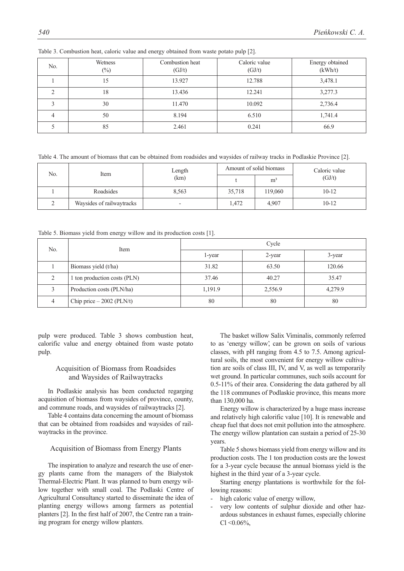| No. | Wetness<br>$(\%)$ | Combustion heat<br>(GJ/t) | Caloric value<br>(GJ/t) | Energy obtained<br>(kWh/t) |
|-----|-------------------|---------------------------|-------------------------|----------------------------|
|     | 15                | 13.927                    | 12.788                  | 3,478.1                    |
|     | 18                | 13.436                    | 12.241                  | 3,277.3                    |
|     | 30                | 11.470                    | 10.092                  | 2,736.4                    |
|     | 50                | 8.194                     | 6.510                   | 1,741.4                    |
|     | 85                | 2.461                     | 0.241                   | 66.9                       |

Table 3. Combustion heat, caloric value and energy obtained from waste potato pulp [2].

Table 4. The amount of biomass that can be obtained from roadsides and waysides of railway tracks in Podlaskie Province [2].

| No.<br>Item | Length                    | Amount of solid biomass  |        | Caloric value  |           |
|-------------|---------------------------|--------------------------|--------|----------------|-----------|
|             |                           | (km)                     |        | m <sup>3</sup> | (GJ/t)    |
|             | Roadsides                 | 8,563                    | 35,718 | 119,060        | $10 - 12$ |
| ∸           | Waysides of railwaytracks | $\overline{\phantom{0}}$ | 1.472  | 4.907          | $10 - 12$ |

Table 5. Biomass yield from energy willow and its production costs [1].

| No. | Item                         | Cycle   |         |         |  |
|-----|------------------------------|---------|---------|---------|--|
|     |                              | l-year  | 2-year  | 3-year  |  |
|     | Biomass yield (t/ha)         | 31.82   | 63.50   | 120.66  |  |
|     | 1 ton production costs (PLN) | 37.46   | 40.27   | 35.47   |  |
|     | Production costs (PLN/ha)    | 1,191.9 | 2,556.9 | 4,279.9 |  |
| 4   | Chip price $-2002$ (PLN/t)   | 80      | 80      | 80      |  |

pulp were produced. Table 3 shows combustion heat, calorific value and energy obtained from waste potato pulp.

## Acquisition of Biomass from Roadsides and Waysides of Railwaytracks

In Podlaskie analysis has been conducted regarging acquisition of biomass from waysides of province, county, and commune roads, and waysides of railwaytracks [2].

Table 4 contains data concerning the amount of biomass that can be obtained from roadsides and waysides of railwaytracks in the province.

#### Acquisition of Biomass from Energy Plants

The inspiration to analyze and research the use of energy plants came from the managers of the Białystok Thermal-Electric Plant. It was planned to burn energy willow together with small coal. The Podlaski Centre of Agricultural Consultancy started to disseminate the idea of planting energy willows among farmers as potential planters [2]. In the first half of 2007, the Centre ran a training program for energy willow planters.

The basket willow Salix Viminalis, commonly referred to as 'energy willow', can be grown on soils of various classes, with pH ranging from 4.5 to 7.5. Among agricultural soils, the most convenient for energy willow cultivation are soils of class III, IV, and V, as well as temporarily wet ground. In particular communes, such soils account for 0.5-11% of their area. Considering the data gathered by all the 118 communes of Podlaskie province, this means more than 130,000 ha.

Energy willow is characterized by a huge mass increase and relatively high calorific value [10]. It is renewable and cheap fuel that does not emit pollution into the atmosphere. The energy willow plantation can sustain a period of 25-30 years.

Table 5 shows biomass yield from energy willow and its production costs. The 1 ton production costs are the lowest for a 3-year cycle because the annual biomass yield is the highest in the third year of a 3-year cycle.

Starting energy plantations is worthwhile for the following reasons:

- high caloric value of energy willow,
- very low contents of sulphur dioxide and other hazardous substances in exhaust fumes, especially chlorine  $Cl < 0.06\%$ ,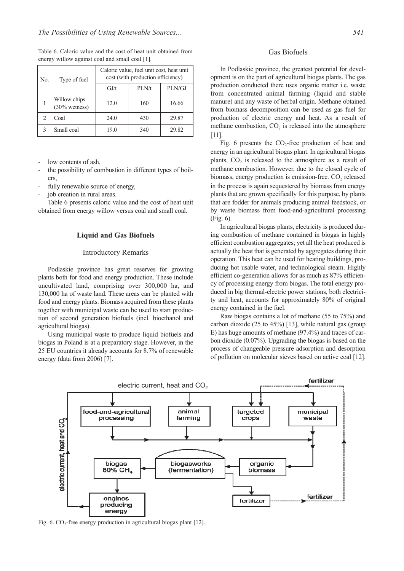| No. | Type of fuel                             | Caloric value, fuel unit cost, heat unit<br>cost (with production efficiency) |       |        |  |
|-----|------------------------------------------|-------------------------------------------------------------------------------|-------|--------|--|
|     |                                          | GJ/t                                                                          | PLN/t | PLN/GJ |  |
|     | Willow chips<br>$(30\% \text{ wetness})$ | 12.0                                                                          | 160   | 16.66  |  |
| 2   | Coal                                     | 24.0                                                                          | 430   | 29.87  |  |
| 3   | Small coal                               | 19.0                                                                          | 340   | 29.82  |  |

Table 6. Caloric value and the cost of heat unit obtained from energy willow against coal and small coal [1].

low contents of ash.

- the possibility of combustion in different types of boilers,
- fully renewable source of energy,
- job creation in rural areas.

Table 6 presents caloric value and the cost of heat unit obtained from energy willow versus coal and small coal.

#### **Liquid and Gas Biofuels**

#### Introductory Remarks

Podlaskie province has great reserves for growing plants both for food and energy production. These include uncultivated land, comprising over 300,000 ha, and 130,000 ha of waste land. These areas can be planted with food and energy plants. Biomass acquired from these plants together with municipal waste can be used to start production of second generation biofuels (incl. bioethanol and agricultural biogas).

Using municipal waste to produce liquid biofuels and biogas in Poland is at a preparatory stage. However, in the 25 EU countries it already accounts for 8.7% of renewable energy (data from 2006) [7].

## Gas Biofuels

In Podlaskie province, the greatest potential for development is on the part of agricultural biogas plants. The gas production conducted there uses organic matter i.e. waste from concentrated animal farming (liquid and stable manure) and any waste of herbal origin. Methane obtained from biomass decomposition can be used as gas fuel for production of electric energy and heat. As a result of methane combustion,  $CO<sub>2</sub>$  is released into the atmosphere [11].

Fig. 6 presents the  $CO<sub>2</sub>$ -free production of heat and energy in an agricultural biogas plant. In agricultural biogas plants,  $CO<sub>2</sub>$  is released to the atmosphere as a result of methane combustion. However, due to the closed cycle of biomass, energy production is emission-free.  $CO<sub>2</sub>$  released in the process is again sequestered by biomass from energy plants that are grown specifically for this purpose, by plants that are fodder for animals producing animal feedstock, or by waste biomass from food-and-agricultural processing (Fig. 6).

In agricultural biogas plants, electricity is produced during combustion of methane contained in biogas in highly efficient combustion aggregates; yet all the heat produced is actually the heat that is generated by aggregates during their operation. This heat can be used for heating buildings, producing hot usable water, and technological steam. Highly efficient co-generation allows for as much as 87% efficiency of processing energy from biogas. The total energy produced in big thermal-electric power stations, both electricity and heat, accounts for approximately 80% of original energy contained in the fuel.

Raw biogas contains a lot of methane (55 to 75%) and carbon dioxide (25 to 45%) [13], while natural gas (group E) has huge amounts of methane (97.4%) and traces of carbon dioxide (0.07%). Upgrading the biogas is based on the process of changeable pressure adsorption and desorption of pollution on molecular sieves based on active coal [12].

electric current, heat and  $CO<sub>2</sub>$ 

Fig. 6.  $CO_2$ -free energy production in agricultural biogas plant [12].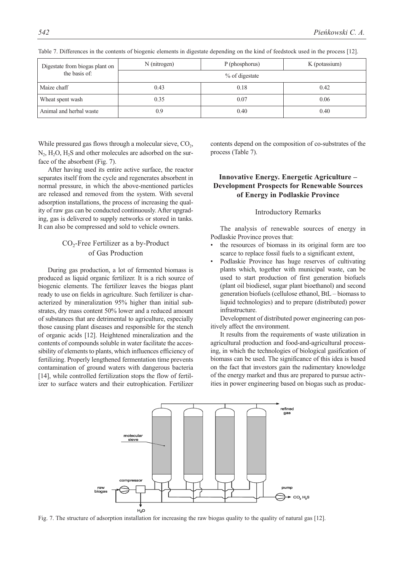| Digestate from biogas plant on | N (nitrogen)      | P (phosphorus) | K (potassium) |  |
|--------------------------------|-------------------|----------------|---------------|--|
| the basis of:                  | $\%$ of digestate |                |               |  |
| Maize chaff                    | 0.43              | 0.18           | 0.42          |  |
| Wheat spent wash               | 0.35              | 0.07           | 0.06          |  |
| Animal and herbal waste        | 0.9               | 0.40           | 0.40          |  |

Table 7. Differences in the contents of biogenic elements in digestate depending on the kind of feedstock used in the process [12].

While pressured gas flows through a molecular sieve,  $CO<sub>2</sub>$ , N<sub>2</sub>, H<sub>2</sub>O, H<sub>2</sub>S and other molecules are adsorbed on the surface of the absorbent (Fig. 7).

After having used its entire active surface, the reactor separates itself from the cycle and regenerates absorbent in normal pressure, in which the above-mentioned particles are released and removed from the system. With several adsorption installations, the process of increasing the quality of raw gas can be conducted continuously. After upgrading, gas is delivered to supply networks or stored in tanks. It can also be compressed and sold to vehicle owners.

# CO<sub>2</sub>-Free Fertilizer as a by-Product of Gas Production

During gas production, a lot of fermented biomass is produced as liquid organic fertilizer. It is a rich source of biogenic elements. The fertilizer leaves the biogas plant ready to use on fields in agriculture. Such fertilizer is characterized by mineralization 95% higher than initial substrates, dry mass content 50% lower and a reduced amount of substances that are detrimental to agriculture, especially those causing plant diseases and responsible for the stench of organic acids [12]. Heightened mineralization and the contents of compounds soluble in water facilitate the accessibility of elements to plants, which influences efficiency of fertilizing. Properly lengthened fermentation time prevents contamination of ground waters with dangerous bacteria [14], while controlled fertilization stops the flow of fertilizer to surface waters and their eutrophication. Fertilizer

contents depend on the composition of co-substrates of the process (Table 7).

# **Innovative Energy. Energetic Agriculture – Development Prospects for Renewable Sources of Energy in Podlaskie Province**

#### Introductory Remarks

The analysis of renewable sources of energy in Podlaskie Province proves that:

- the resources of biomass in its original form are too scarce to replace fossil fuels to a significant extent,
- Podlaskie Province has huge reserves of cultivating plants which, together with municipal waste, can be used to start production of first generation biofuels (plant oil biodiesel, sugar plant bioethanol) and second generation biofuels (cellulose ethanol, BtL – biomass to liquid technologies) and to prepare (distributed) power infrastructure.

Development of distributed power engineering can positively affect the environment.

It results from the requirements of waste utilization in agricultural production and food-and-agricultural processing, in which the technologies of biological gasification of biomass can be used. The significance of this idea is based on the fact that investors gain the rudimentary knowledge of the energy market and thus are prepared to pursue activities in power engineering based on biogas such as produc-

Fig. 7. The structure of adsorption installation for increasing the raw biogas quality to the quality of natural gas [12].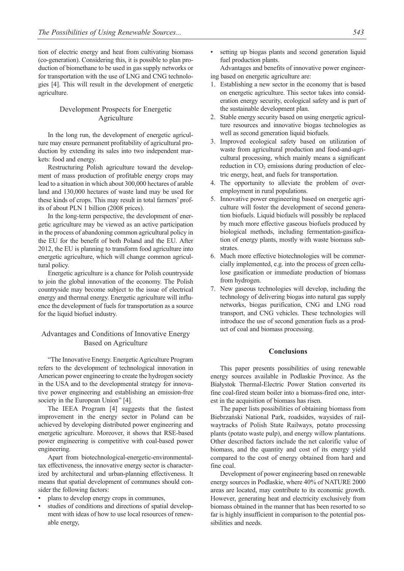tion of electric energy and heat from cultivating biomass (co-generation). Considering this, it is possible to plan production of biomethane to be used in gas supply networks or for transportation with the use of LNG and CNG technologies [4]. This will result in the development of energetic agriculture.

## Development Prospects for Energetic Agriculture

In the long run, the development of energetic agriculture may ensure permanent profitability of agricultural production by extending its sales into two independent markets: food and energy.

Restructuring Polish agriculture toward the development of mass production of profitable energy crops may lead to a situation in which about 300,000 hectares of arable land and 130,000 hectares of waste land may be used for these kinds of crops. This may result in total farmers' profits of about PLN 1 billion (2008 prices).

In the long-term perspective, the development of energetic agriculture may be viewed as an active participation in the process of abandoning common agricultural policy in the EU for the benefit of both Poland and the EU. After 2012, the EU is planning to transform food agriculture into energetic agriculture, which will change common agricultural policy.

Energetic agriculture is a chance for Polish countryside to join the global innovation of the economy. The Polish countryside may become subject to the issue of electrical energy and thermal energy. Energetic agriculture will influence the development of fuels for transportation as a source for the liquid biofuel industry.

## Advantages and Conditions of Innovative Energy Based on Agriculture

"The Innovative Energy. Energetic Agriculture Program refers to the development of technological innovation in American power engineering to create the hydrogen society in the USA and to the developmental strategy for innovative power engineering and establishing an emission-free society in the European Union" [4].

The IEEA Program [4] suggests that the fastest improvement in the energy sector in Poland can be achieved by developing distributed power engineering and energetic agriculture. Moreover, it shows that RSE-based power engineering is competitive with coal-based power engineering.

Apart from biotechnological-energetic-environmentaltax effectiveness, the innovative energy sector is characterized by architectural and urban-planning effectiveness. It means that spatial development of communes should consider the following factors:

- plans to develop energy crops in communes,
- studies of conditions and directions of spatial development with ideas of how to use local resources of renewable energy,

setting up biogas plants and second generation liquid fuel production plants.

Advantages and benefits of innovative power engineering based on energetic agriculture are:

- 1. Establishing a new sector in the economy that is based on energetic agriculture. This sector takes into consideration energy security, ecological safety and is part of the sustainable development plan.
- 2. Stable energy security based on using energetic agriculture resources and innovative biogas technologies as well as second generation liquid biofuels.
- 3. Improved ecological safety based on utilization of waste from agricultural production and food-and-agricultural processing, which mainly means a significant reduction in  $CO<sub>2</sub>$  emissions during production of electric energy, heat, and fuels for transportation.
- 4. The opportunity to alleviate the problem of overemployment in rural populations.
- 5. Innovative power engineering based on energetic agriculture will foster the development of second generation biofuels. Liquid biofuels will possibly be replaced by much more effective gaseous biofuels produced by biological methods, including fermentation-gasification of energy plants, mostly with waste biomass substrates.
- 6. Much more effective biotechnologies will be commercially implemented, e.g. into the process of green cellulose gasification or immediate production of biomass from hydrogen.
- 7. New gaseous technologies will develop, including the technology of delivering biogas into natural gas supply networks, biogas purification, CNG and LNG road transport, and CNG vehicles. These technologies will introduce the use of second generation fuels as a product of coal and biomass processing.

### **Conclusions**

This paper presents possibilities of using renewable energy sources available in Podlaskie Province. As the Białystok Thermal-Electric Power Station converted its fine coal-fired steam boiler into a biomass-fired one, interest in the acquisition of biomass has risen.

The paper lists possibilities of obtaining biomass from Biebrzański National Park, roadsides, waysides of railwaytracks of Polish State Railways, potato processing plants (potato waste pulp), and energy willow plantations. Other described factors include the net calorific value of biomass, and the quantity and cost of its energy yield compared to the cost of energy obtained from hard and fine coal.

Development of power engineering based on renewable energy sources in Podlaskie, where 40% of NATURE 2000 areas are located, may contribute to its economic growth. However, generating heat and electricity exclusively from biomass obtained in the manner that has been resorted to so far is highly insufficient in comparison to the potential possibilities and needs.